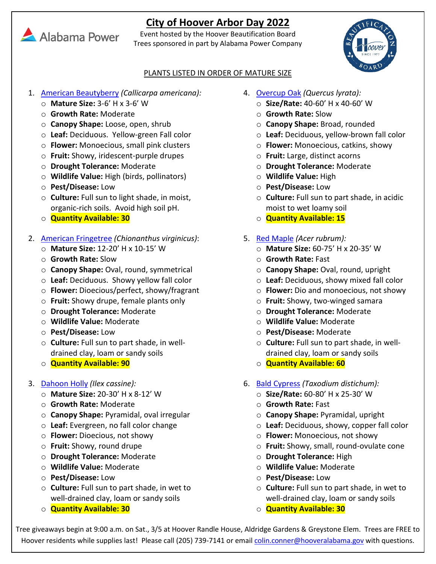# **City of Hoover Arbor Day 2022**

Event hosted by the Hoover Beautification Board Trees sponsored in part by Alabama Power Company



### PLANTS LISTED IN ORDER OF MATURE SIZE

- 1. [American Beautyberry](https://www.missouribotanicalgarden.org/PlantFinder/PlantFinderDetails.aspx?taxonid=287477) *(Callicarpa americana):*
	- o **Mature Size:** 3-6' H x 3-6' W
	- o **Growth Rate:** Moderate
	- o **Canopy Shape:** Loose, open, shrub
	- o **Leaf:** Deciduous. Yellow-green Fall color
	- o **Flower:** Monoecious, small pink clusters
	- o **Fruit:** Showy, iridescent-purple drupes
	- o **Drought Tolerance:** Moderate
	- o **Wildlife Value:** High (birds, pollinators)
	- o **Pest/Disease:** Low
	- o **Culture:** Full sun to light shade, in moist, organic-rich soils. Avoid high soil pH.
	- o **Quantity Available: 30**

## 2. [American Fringetree](https://edis.ifas.ufl.edu/st161) *(Chionanthus virginicus)*:

- o **Mature Size:** 12-20' H x 10-15' W
- o **Growth Rate:** Slow
- o **Canopy Shape:** Oval, round, symmetrical
- o **Leaf:** Deciduous. Showy yellow fall color
- o **Flower:** Dioecious/perfect, showy/fragrant
- o **Fruit:** Showy drupe, female plants only
- o **Drought Tolerance:** Moderate
- o **Wildlife Value:** Moderate
- o **Pest/Disease:** Low
- o **Culture:** Full sun to part shade, in welldrained clay, loam or sandy soils
- o **Quantity Available: 90**
- 3. [Dahoon Holly](https://edis.ifas.ufl.edu/st299) *(Ilex cassine):*
	- o **Mature Size:** 20-30' H x 8-12' W
	- o **Growth Rate:** Moderate
	- o **Canopy Shape:** Pyramidal, oval irregular
	- o **Leaf:** Evergreen, no fall color change
	- o **Flower:** Dioecious, not showy
	- o **Fruit:** Showy, round drupe
	- o **Drought Tolerance:** Moderate
	- o **Wildlife Value:** Moderate
	- o **Pest/Disease:** Low
	- o **Culture:** Full sun to part shade, in wet to well-drained clay, loam or sandy soils
	- o **Quantity Available: 30**
- 4. [Overcup Oak](https://www.missouribotanicalgarden.org/PlantFinder/PlantFinderDetails.aspx?kempercode=e717) *(Quercus lyrata):* 
	- o **Size/Rate:** 40-60' H x 40-60' W
	- o **Growth Rate:** Slow
	- o **Canopy Shape:** Broad, rounded
	- o **Leaf:** Deciduous, yellow-brown fall color
	- o **Flower:** Monoecious, catkins, showy
	- o **Fruit:** Large, distinct acorns
	- o **Drought Tolerance:** Moderate
	- o **Wildlife Value:** High
	- o **Pest/Disease:** Low
	- o **Culture:** Full sun to part shade, in acidic moist to wet loamy soil
	- o **Quantity Available: 15**
- 5. [Red Maple](https://edis.ifas.ufl.edu/st041) *(Acer rubrum):*
	- o **Mature Size:** 60-75' H x 20-35' W
	- o **Growth Rate:** Fast
	- o **Canopy Shape:** Oval, round, upright
	- o **Leaf:** Deciduous, showy mixed fall color
	- o **Flower:** Dio and monoecious, not showy
	- o **Fruit:** Showy, two-winged samara
	- o **Drought Tolerance:** Moderate
	- o **Wildlife Value:** Moderate
	- o **Pest/Disease:** Moderate
	- o **Culture:** Full sun to part shade, in welldrained clay, loam or sandy soils
	- o **Quantity Available: 60**
- 6. [Bald Cypress](https://edis.ifas.ufl.edu/st620) *(Taxodium distichum):*
	- o **Size/Rate:** 60-80' H x 25-30' W
	- o **Growth Rate:** Fast
	- o **Canopy Shape:** Pyramidal, upright
	- o **Leaf:** Deciduous, showy, copper fall color
	- o **Flower:** Monoecious, not showy
	- o **Fruit:** Showy, small, round-ovulate cone
	- o **Drought Tolerance:** High
	- o **Wildlife Value:** Moderate
	- o **Pest/Disease:** Low
	- o **Culture:** Full sun to part shade, in wet to well-drained clay, loam or sandy soils
	- o **Quantity Available: 30**

Tree giveaways begin at 9:00 a.m. on Sat., 3/5 at Hoover Randle House, Aldridge Gardens & Greystone Elem. Trees are FREE to Hoover residents while supplies last! Please call (205) 739-7141 or email colin.conner@hooveralabama.gov with questions.

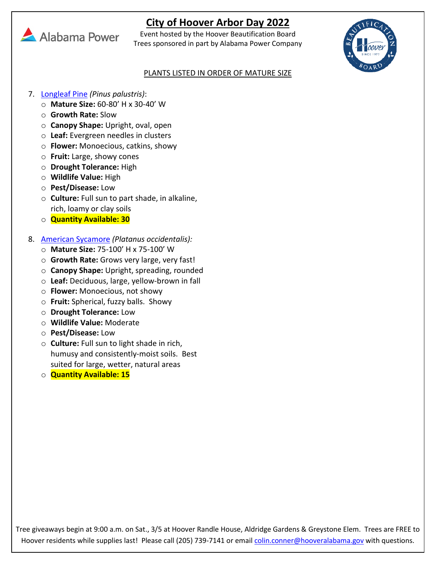## **City of Hoover Arbor Day 2022**



Event hosted by the Hoover Beautification Board Trees sponsored in part by Alabama Power Company



#### PLANTS LISTED IN ORDER OF MATURE SIZE

- 7. [Longleaf Pine](https://www.arborday.org/trees/treeguide/treedetail.cfm?itemID=1095) *(Pinus palustris)*:
	- o **Mature Size:** 60-80' H x 30-40' W
	- o **Growth Rate:** Slow
	- o **Canopy Shape:** Upright, oval, open
	- o **Leaf:** Evergreen needles in clusters
	- o **Flower:** Monoecious, catkins, showy
	- o **Fruit:** Large, showy cones
	- o **Drought Tolerance:** High
	- o **Wildlife Value:** High
	- o **Pest/Disease:** Low
	- o **Culture:** Full sun to part shade, in alkaline, rich, loamy or clay soils
	- o **Quantity Available: 30**

## 8. [American Sycamore](https://www.missouribotanicalgarden.org/PlantFinder/PlantFinderDetails.aspx?taxonid=285137) *(Platanus occidentalis):*

- o **Mature Size:** 75-100' H x 75-100' W
- o **Growth Rate:** Grows very large, very fast!
- o **Canopy Shape:** Upright, spreading, rounded
- o **Leaf:** Deciduous, large, yellow-brown in fall
- o **Flower:** Monoecious, not showy
- o **Fruit:** Spherical, fuzzy balls. Showy
- o **Drought Tolerance:** Low
- o **Wildlife Value:** Moderate
- o **Pest/Disease:** Low
- o **Culture:** Full sun to light shade in rich, humusy and consistently-moist soils. Best suited for large, wetter, natural areas
- o **Quantity Available: 15**

Tree giveaways begin at 9:00 a.m. on Sat., 3/5 at Hoover Randle House, Aldridge Gardens & Greystone Elem. Trees are FREE to Hoover residents while supplies last! Please call (205) 739-7141 or email colin.conner@hooveralabama.gov with questions.